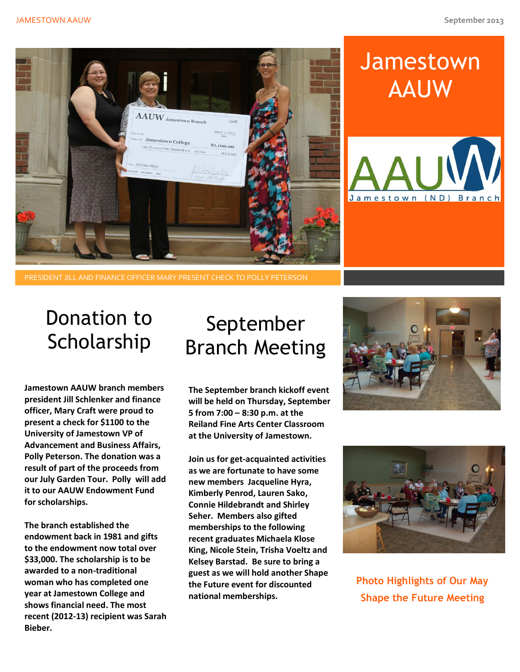

# **Jamestown** AAUW



#### PRESIDENT JILL AND FINANCE OFFICER MARY PRESENT CHECK TO POLLY PETERSON

#### Donation to Scholarship

**Jamestown AAUW branch members president Jill Schlenker and finance officer, Mary Craft were proud to present a check for \$1100 to the University of Jamestown VP of Advancement and Business Affairs, Polly Peterson. The donation was a result of part of the proceeds from our July Garden Tour. Polly will add it to our AAUW Endowment Fund for scholarships.** 

**The branch established the endowment back in 1981 and gifts to the endowment now total over \$33,000. The scholarship is to be awarded to a non-traditional woman who has completed one year at Jamestown College and shows financial need. The most recent (2012-13) recipient was Sarah Bieber.** 

## September Branch Meeting

**The September branch kickoff event will be held on Thursday, September 5 from 7:00 – 8:30 p.m. at the Reiland Fine Arts Center Classroom at the University of Jamestown.**

**Join us for get-acquainted activities as we are fortunate to have some new members Jacqueline Hyra, Kimberly Penrod, Lauren Sako, Connie Hildebrandt and Shirley Seher. Members also gifted memberships to the following recent graduates Michaela Klose King, Nicole Stein, Trisha Voeltz and Kelsey Barstad. Be sure to bring a guest as we will hold another Shape the Future event for discounted national memberships.**





**Photo Highlights of Our May Shape the Future Meeting**